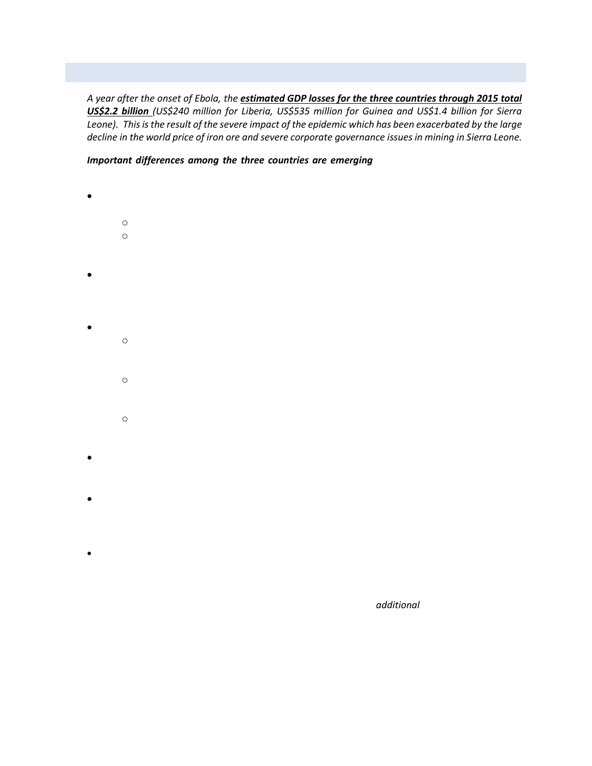## **EXECUTIVE SUMMARY**

A year after the onset of Ebola, the estimated GDP losses for the three countries through 2015 total US\$2.2 billion (US\$240 million for Liberia, US\$535 million for Guinea and US\$1.4 billion for Sierra Leone). This is the result of the severe impact of the epidemic which has been exacerbated by the large decline in the world price of iron ore and severe corporate governance issues in mining in Sierra Leone.

Important differences among the three countries are emerging. Liberia is gradually returning to v}Œu o ÇU 'µ]v [• }v}uÇ ]• •š Pv š]vPU v ^] ŒŒ > }v ]• •µ((0

- This update pr• vš• šZ t} Œ o vl[• u}•š Œ vš v o Ç•]• } (šZ  $\}v$  } u ] the Ebola epidemic on the three countries relation to our January 2015 report it contains:
	- o An updated status for the economies of Liberia, Guinea, and Sierra; Leone
	- Œ ]‰š]}v }( šZ }µvšŒ ] •[ }v}u] Z }À ŒÇ Wo v• ○ A br ] ( of their potential impact on growth
- As of April 2015, the Ebola epidemic has been largely contained but the negative effects on the economies of Liberia, Guinea and Sidreone loom large amidst continued uncertainty about the timing of complete eradication.
- The crisis continues to adversely affect these economies:
	- $\circ$  In Liberia mining is resilient and agriculture is rebound 2001 5 GDP growth is projected at 3%-a welcome increase compared to the 1% GDP growth of 2014, but still well below the pre-Ebola growth estimates of 6.8%
	- o In Guinea mining remains resilient but services and agriculture remained subdoued. 2015 the economy is expected to contract by 0.2%, comparepre-Ebola expected growth of 4.3%
	- $\circ$  In Sierra Leone, the mining sector massily shut down. In the short run the economy faces an unprecedented contraction of GDP estimated at 23.5%.
- Inflation has moderated below 10 percent in all three countribelped somewhat by lower international food and fuel prices. However, food insecurity remains a primary concern.
- The fiscal impact remains substantial. A combination of declining revenues and increased Ebola  $\bullet$ related expenditures, mainly in the healthector, have led to widening fiscal deficits projected at 12.8.% in Liberia, 10.1 % in Guinea, and 4.6% in Sierra Leone in 2015.
- The pace of recovery in these countries will depend heavily on adequate financing and effective  $\bullet$ implementation of the recoverplans. The most immediate priority remains the eradication of Ebola and enhancement of health care systerin sluding establishing an effective surveillance capacity. Equally important, however, is the need to facilitate an effective and sustainable resumption of broadbased economic growth. Effective useadditional financing could play an important role in accelerating economic recovery in these countrilesadditional resources for recovery could be secured quickly in 2015 and increarsed ugh 2017, the rate of GDP growth could be accelerated significantly.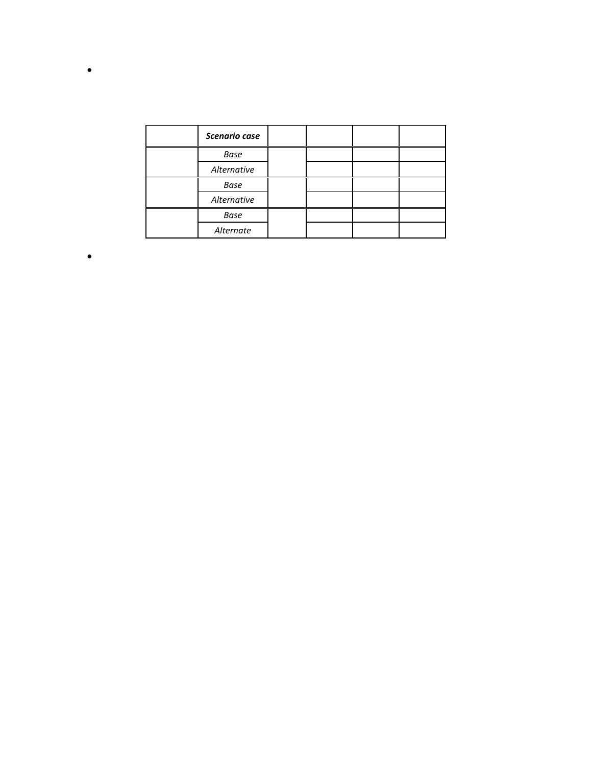For example additional financing in the order of 5% of GDP per year (our illustrative hypothetical alternative case) would speed up economic recovery and help place these countries on new growth trajectories that will revert the foregone income suffered during 2014 and 2015.

| Country | Scenario case | 2014 | 2015    | 2016 | 2017 |
|---------|---------------|------|---------|------|------|
|         | Base          |      | 3.0     | 5.0  | 6.0  |
| Liberia | Alternative   | 1.0  | 3.7     | 7.8  | 8.0  |
|         | Base          |      | $-0.2$  | 3.0  | 4.5  |
| Guinea  | Alternative   | 0.3  | 1.2     | 5.0  | 6.8  |
| Sierra  | Base          |      | $-23.5$ | 19.7 | 12.8 |
| Leone   | Alternate     | 7.0  | $-20.9$ | 20.2 | 14.0 |

GDP Growth Projections (20152017)

 Ultimately, Liberia, Guinea and Sierra Leone will need the strong support from the development community over the next years to both make up for the losses incurred during the Ebola crisis and make these economies less vulnerable for the future.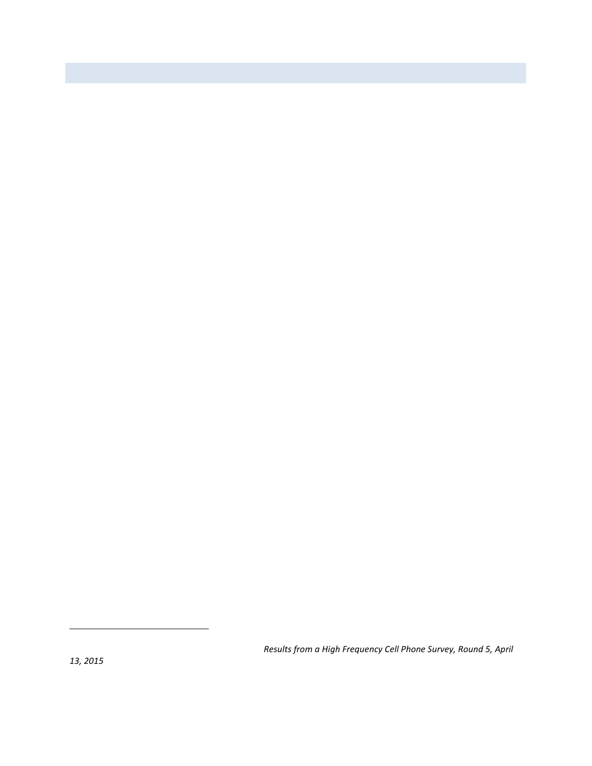# LIBERIA

l

No new confirmed casse f Ebola Virus Disease (EVD) and reported since the end of March 2015. Restrictions on movement have been lifted and most of the approximately 5,200 schools have been re opened except for around 500 schools in the most remote areas hich are yet to be provided with Infection Prevention Control (IPC) kits.

Domestic aversion behavior has abated significantly in Liberia and most businesses have ented. The adverse impact of the crisis on the economy in 2014 has **substantial** with real GDP growth estimated at about 1 percent, down from the nearly 6 percent undeprojected before the onset of the crisis. Growth is expected to recove to around 3 percent in 2015, drive mainly by the recovery in the agricultural and services sectors. It is also expected that increased domestic demand for manufactured products including cement (for the nascent construction recovery) beverages for the hotel sector will make contributions to the growth recovery.

An incipient economic recover has taken root and employment is improving The t  $E$  CE o vl[• most recent cellphone savey (round 5) covering the period of March 1218, 2015 suggesta generally slow return towardsthe level of employment to before the crisis. The return to wage and sethiployment has been faster in the urban areas than the rucales, perhaps reflecting the return to work of furloughed civil servantsas well as the increased activities in the hotel and restaurant sections by demand from the health response teams. However, women continue to be disproportionately impacted  $EVD$  related job losses<sup>1</sup> Prior to the outbreak, female household heads, and women general worked disproportionately more in nomagricultural selfemployment (mainly trading) which isthe hardest hit sector (due to the closing of markets as well as the borders) brang the self-employed, men had a 63 percent likelihood of working according to the most recent survey compared to only 17 percent for women, controlling for age and location. With the lifting of curfews travel restrictions and the reopening of borders and market smobility has increased tarkedly as indicated by the sharp rise in petrol sales (Figure 1). The uptick indemand for petrol also reflect the activities of the international response team as well as loweglobal fuelprices. Diesel sales on the other hangre improving but much more slowly suggesting an ongoing weakness in the commercial transport sector.

The agriculture sector appearto be recovering. According to the  $5<sup>th</sup>$  round of the World Bank cellphone survey, most agricultural households porteda smaller harvest for 2014 han the previous yearlowever. for 2015, based on initial harvest assessment by the Fa Othe Ministry of Agriculture bumper crop of rice is expected with yield increasing to 1.3 status hectare, up from  $0.97$  tons per head for the previous seasoim primary agricultural areas including Bong, Lofa and Nimbit the reopening of

<sup>&</sup>lt;sup>1</sup> The SocidEconomic Impacts of Ebola in Liberia, *Results from a High Frequency Cell Phone Survey, Round 5, April 13, 2015*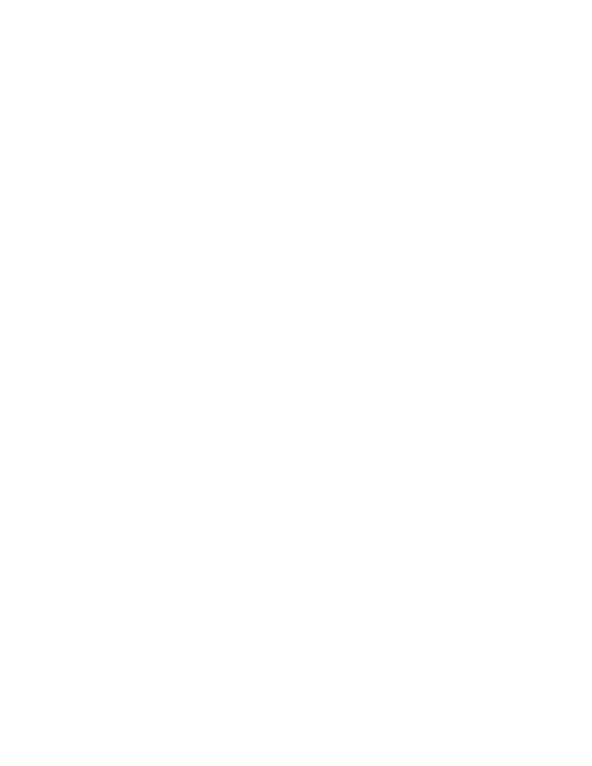markets, production of cassava and vegetables had so recovered to normal pretrisis levels. The agriculture sectors expected to recover to post a 2 percent growth in 2015.

In the mining sector production is continuing at current capacity but investments in capacity expansion remain uncertain. Iron ore production has remained resilient in spite of the Ebola crisis as well as the 55 percent reduction in international iron ore prices between January 2014 and March 2015. For 2015, production from the largest mine (Mittal) estimated at 4.5 million tons. However, planned investments to raise production to approximaty 15 million tons per yeareon hold. The coming or stream of the largest commercial gold mining projecthe New Liberty Gold Projectin the North-Western part of the country in May 2015 is expected to have a positive impact on the performance of the mining sector on overallGDP growth.

The performance of the services sector while improving, is mixed The surge in international support which increased demand for hotel and restaurant servition October is now drawingdown. However, some foreign contractors are returning. More airlines are also returning but Liberia remains far less connected with the region and globally than before the epiderBicussels Airlines has maintained two flights per weekand in April, Air Maroc increased its frequency to 5 flights per we tik Cote d'Ivoire to 4 flights and Kenya Airway has restarted its thrice-weekly service to Ghana. The reare some sign of an emergingrecovery in the construction sub-sector, particularly private constructiones reflected in the uptick incement salesince October 2014 Figure 2). Construction at the Mount Coffee hydroelectric plant remains on holdbut road construction has retarted. For 2015, theservices sector is projected to grow at about 3.5 percent.

Inflation has moderated since September, the loth of the crisis, but prices are not back to portisis levels. Food prices which reached their highest in September repredsharply in November as the crisis abated and markets reopened.In addition, transport costs which spiked to their highest in August also moderated sharply in December hisperhaps reflects the lower globalfuel prices as well as the loss of the premium from the restricted passenger load imposed during the height of the drisis ased oad accessibility due tothe usual seasonal improvement as the rainy season endede Figure 3).

The exchange ratehas remained largely stable following some volatility in 201A nine percent depreciation in the first half of 2014as essentially reversed by interventions from the Central Ratin Liberia (CBL) including increased sales of US dollaris the auctions and the issuing of CBL notes to decrease Liberian dollar liquidity he exchange rate has remained in the row band of LB\$82.5 - 84.5 per US dollar last six nonths to March 2015. However, alling reserves (from US\$235.8 million in June 2014 to US\$20.3 million in midJanuary 2015) in the face of relatively weak exports and a likely slowdown in donor transfers could contribute to exchange rate pressure to future.

The fiscal impact of the Ebola crisis remain acurel though revenues have performed well relative to the revised forecast, they are stilar below the original forecastand inadequate to meet the expanded expenditure needs. Total revenues, including grantere projected at US\$483.8 millionin FY2014/15 down from US\$545.2 million the previous yearax evenues have been projected to fall from US\$387 million for FY2013/14 to US\$326.4 million for FY2014 the ecline of 15 percent as a result the tight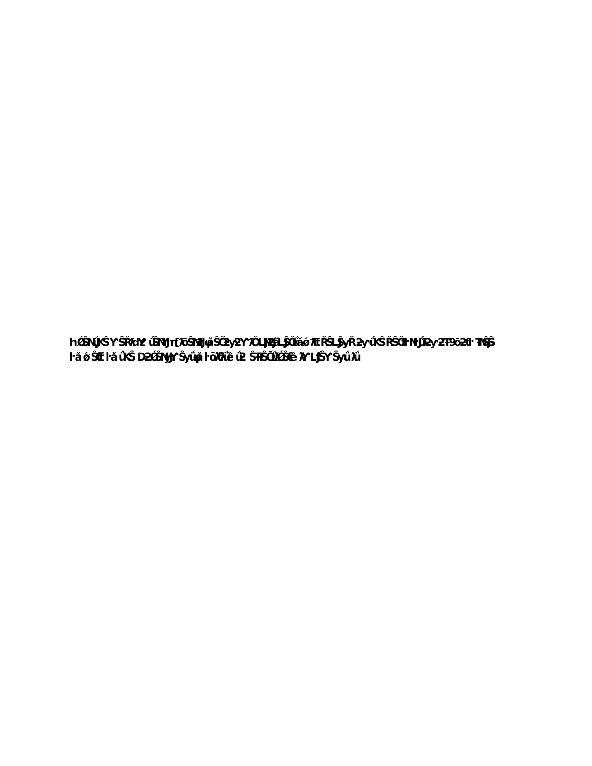reduction in economic activites and lower tax compliance. Expenditure dargely driven by the health related demands of the crisiare projected to expand from US\$568.4 million (28.5 percent of GDP) in FY2013/14 to US\$745.7 million (36.5 percent of GDR), cases of 31 percent. The lower revenues and expansion in expenditurare expected to result in a relatively large fiscal deficit of US\$262 million about 12.8 percent of GDRp from a deficit of 1.2 percent of GDP the year before the crisis.

The government has prepared a ambitious recovery plan to stabilize and stimulate the economy. The plan focuses on providing resources to the health sector not **to ply** event new cases of Ebola but also begin the process of building more robust health systems in the plan focuses on quick impact strategic investments in agriculturas well as the provision of critical infrastructure including roads electricity, waterand sanitation. Thiswill not only support the economic recovery and provide jobst will also becritical for building resilience to future shock Shetotal cost of the Ebola recovery plan, covering three fiscal years is US\$ billion, including US\$38.8 million (about 35 percent) for the health sector. The first full year of the plapresents the biggest challenge for the government, both in terms of securing the resources for the funding of the plan and in ensuring that it effectively implement the proposed interventions in the plan. With the exception of the health sector, the vel of additional expenditure over typical GoL expenditure on the other sectors are relatively modest and should not present major implementation challenges.

**Over the medium term, Liberia's economic prospects will depend on the declaration of Ebola free** status as well as the Government's ability to effectively implement its ambitious recovery plan New and continuing foreign investmestin the extractive and commercial agriculture sectors will hinge not only on the perception of infection risks but alsoon developments related to the international prices for rubber, iron ore and oil palm Liberia [  $key$  exportswhich together account for more than 90 percent of total exports. Under theexisting v • v\_scenario with financing for the presentexpenditure program, the current pace of abatement in domestic aversion behavior dexistinglevels of international commodity prices for key exports, GDP growth is likely to remain subdued perhaps reading ent in 2017. Under an  $\Delta$ alternative\_scenario which assumes no backsliding on the EVD situationstrong international response in terms of an additional 5 percent of GDP of financing for the recovery plan, and effective implementation of the planto spur domestic agriculture, construction and a recovery in the manufacturing sectorcombined with possible improvements in international commodity prices, Liberia GDP growth could rebound more sharply to readppercent by 2017This rebound further assumes that additional marginadonor resources beyond what is needed to maintain the zero new case situation will be channeled to the growth recovery program.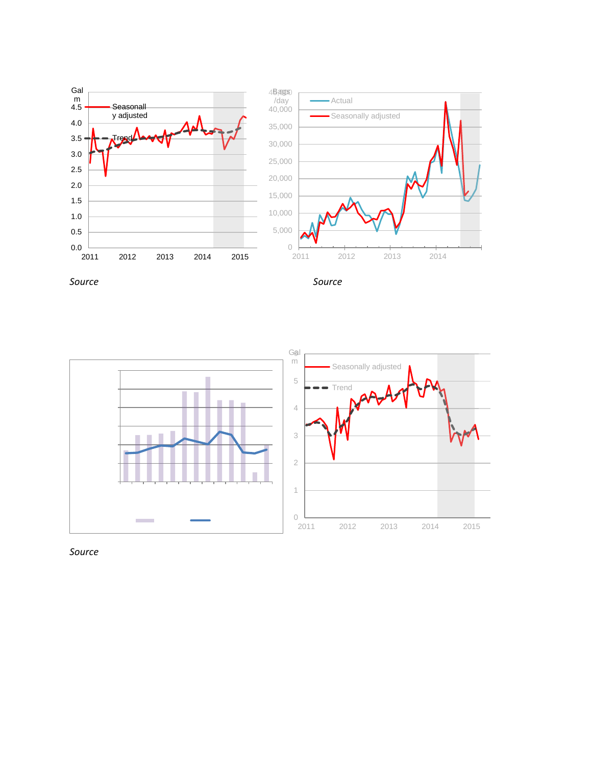

Figure 1:Liberia Petrol Sales (m)l. Figure 2:Liberia, Cement sales (bags/day)



**Source: World Bank analysis, LPRC** *Source*: Liberia Cement Cporation

# Figure 3: Liberia, CPI and Transport Costs Figure 4: Liberia Diesel Salesil. Gals)



Source: World Bank analysis, LISGIS Source: World Bank analysis, LPRC

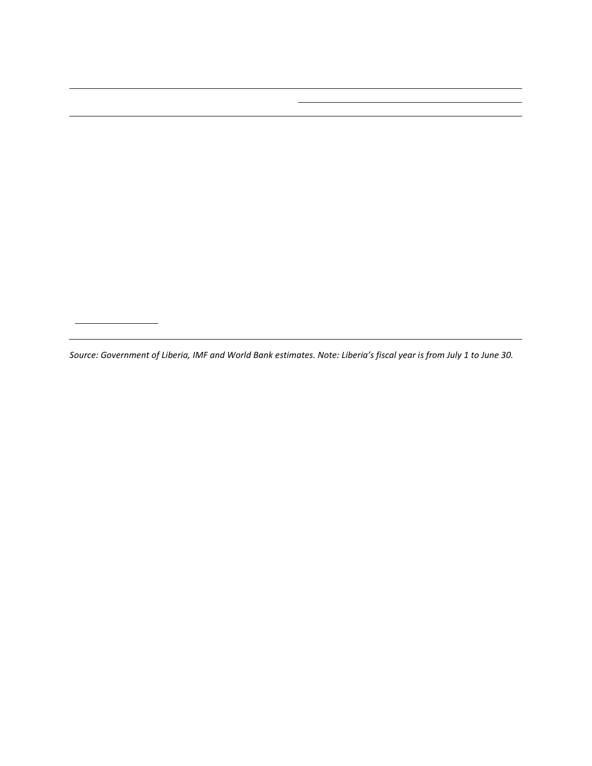| Table 1: Liberia, Macroeconomic and Fiscal Projections |  |  |  |  |
|--------------------------------------------------------|--|--|--|--|
|--------------------------------------------------------|--|--|--|--|

| Aggregates                                   | 2013   | 2014   | 2015    | 2016   | 2017   |
|----------------------------------------------|--------|--------|---------|--------|--------|
|                                              | Prel.  | Prel.  | Proj.   | Proj.  | Proj.  |
| Real GDP Growth (%)                          | 8.7    | 1.0    | 3.0     | 5.0    | 6.0    |
| Consumer prices (end of period)              | 7.6    | 8.0    | 7.5     | 7.5    | 7.5    |
| Fiscal(US\$ millions)                        |        |        |         |        |        |
| Total revenue and grants                     | 555    | 545    | 484     | 535    | 589    |
| Revenue                                      | 509    | 470    | 427     | 456    | 542    |
| Taxrevenue                                   | 369    | 385    | 326     | 369    | 442    |
| <b>Non-tax</b>                               | 140    | 86     | 101     | 87     | 100    |
| Grants, excluding Ebolalated support         | 46     | 75     | 57      | 79     | 46     |
| Expenditure and net lending                  | 584    | 568    | 746     | 685    | 732    |
| Current expenditure                          | 493    | 456    | 544     | 464    | 500    |
| Capital expenditure                          | 91     | 112    | 202     | 221    | 233    |
| Overall balane, including grants             | $-29$  | $-23$  | $-262$  | $-150$ | $-143$ |
| Overall balance (% of GDP)                   | $-1.6$ | $-1.2$ | $-12.8$ | $-7.0$ | $-6.1$ |
| Residual gap (excluding Ebola Recovery Plan) | 0      | 0.0    | 0.0     | 22     | 0.0    |
| Memorandum items:                            |        |        |         |        |        |
| Fiscal year nominal GDP                      | 1,854  | 1,995  | 2,042   | 2,142  | 2,353  |

*Source: Government of Liberia, IMF and World Bank estimates. Note: Liberia's fiscal year is from July 1 to June 30.*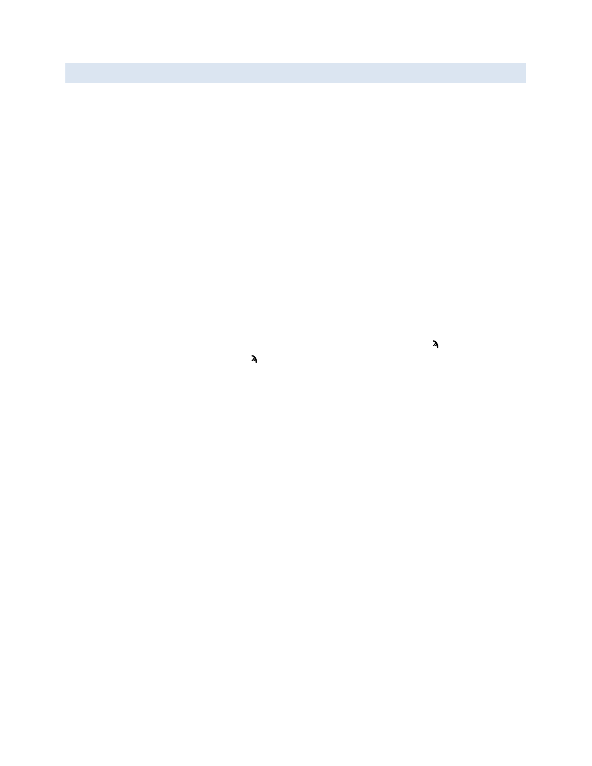## SIERRA LEONE

Intensified containment efforts through the first quarter of 2015 including a third national threav lockdown have borne frit with the numbers of new cases generally on a declining trendet at the beginning of April there were still 67 new cases reported in the most recent 21 day period, with total cases topping 12,000.

A degree of economic activity has resumed in ear  $\sqrt{2}$  with the improving EVD situation and the abatement of severe aversion behavior that characterized the second half of 2001 2014 overall GDP increased by 7 percent, buoyed by the performance of the iron ore sectolowever the non-iron ore economy which accounts for some 80 percent of GDP and where well over 98 percent of the population earn their livelihoodsgrewonly by 1 percent. Hardest hit was the services sector which expanded less than 2 percent, despite surgein health related and oter general government spending. The hospitality industry was particularly impacted by the sharp drop in visitor arrivals and the restriction public gathering placed on the restaurants and entertainment venues is resulted in the hotel and restauran sub-sector contracting by about 20 percent. Adversely affected by the evacuation of foreign part actors the construction sector declined by percent Agriculture was disrupted and is estimated to have expanded by only 1 percent over the year.

Workers in urban areasparticularly Freetown experienced a loss of employment both among wage earners and the norfarm self-employed—reportedly on account of Ebola,ccording to a World Bank cellphone survey conducted in late 2014. An estimated 9,000 wage rea and 170,000 nofarm selfemployed workers were out of work as a result of the EVD crisis, with significant spillovers as these were household heads. The survey also found a decline **percent in** the average revenues of households engaged in norfarm enterprises, while he number of such enterprises no longer operating pled.

Despite concerns that sporadic food shortages triggered by closure of informal markets and other measures would lead to rising food prices, inflation trended slightly lawaver the year at 9.8 percent. Following a slight uptick as the outbreak turned into crisis at wear viraditionally a period associated with rising food scarcity food prices were remarkably stable through the remainder of 2014, and remain so in early 215. Falling international oil prices during the final quarter of 2014 undoubted bed to easeinflationary pressures.

Notwithstanding the substantial international assistance and resources, the fiscal situation in 2014 came under considerable pressures a result of EVD and not VD related factors which led to a revenue shortfall, estimated at US\$83million, and additional unanticipated expenditures in relation to the EVD. The bulk of EVD related spendifrom international donors was managed of foudget by the National Ebola Response Center hich received only a modest transfer from the budge br the frst half of 2014, revenue underperformance the tune of US\$17 milliowas unrelated to the EVD hiswas compounded in the second half by a commation of factors related to the spreading EVD epidemic. These included reduced taxpayer compliance, reduced administrative efforts well as the economic contraction. Expenditure priorities in relation to the EVD dictated reallocations through the **set ally** partially offset by a fall in foreign financed capital spending as contractors on these activities evacuated. The overall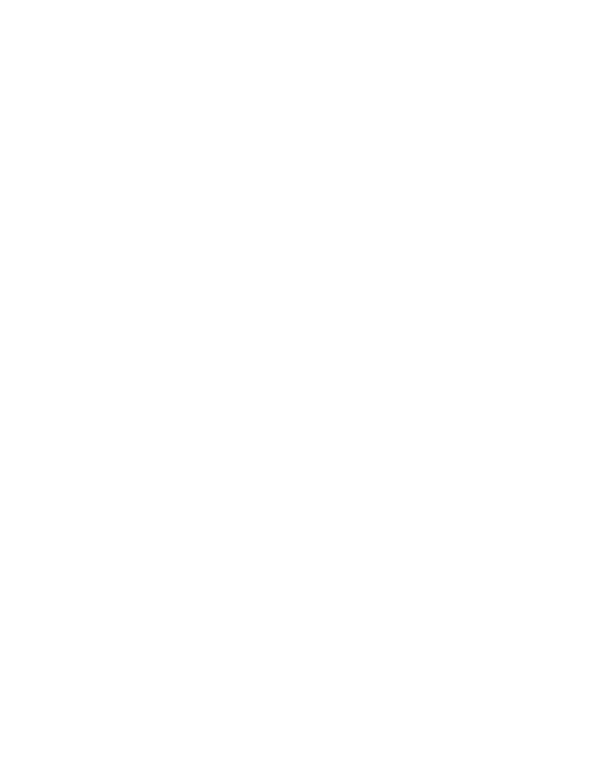outcome was a deficit estimated at 9 percent of noniron ore GDP. This was financed largely through an increase in both **external budget support and domestic borrowing.** 

As the crisis took hold, the Leone came under significant pressure with the rate of depreciation sharply higher from July 2014, easing in early December coincid with an improvement in containment of the EVD. The increased pressure on the currency in the fourth quarter probably also reflected some capital flight through commercial banks. In response to increased demand for foreign exchange during this period, the Bank of Sierra Leone significantly increated volume available through its weekly auction beginning Septembe 2014. The commercial banks also reported increased demand and this was evident in the parallel market which experienced a widening of spreads with official rates. Since December 214, the Leone has been relatively stable

Commercial banks, particularly the two state wned banks that were under administration experienced increased default, which led to a sharp increase in nonerforming loans relative to regulatory capital Bank pofitability was also adversely affected by the prevailing economic environment which made lending more challenging as well as the arp drop in treasury bill yields, from more than 23-29 percent in May 2012 to around 15 percentin 2014, and  $\Sigma$  percent inFebruary 2015 With inflation running at 10 percent, real interest rates have been decisively negative of caral year.

The postEbola economic recovery lan prepared by government is ambitious in its scope he plan covers some 14 sectors and is fored son the nearterm van implementation period of wo years from June 2015 relegating longer term recovery activities to the current poverty reduction strategy. During that period the plan requires a total of US\$063million, including US\$58 million for the health sector response, representing about 53 percent of the total Of this, approximately US\$219 million is for achieving zero cases of EVD and maintaining anfree Denvironment. From an absorptive capacity perspective total non-interest expenditue under the 2014 budget was about US\$800 ion.

Agricultural activities have resumed visibly in early 2015 and the planting season is expected to be mostly normal but there are signs of variation related to disruptions caused by the EVD **D** evernment is focusing much of its recovery strategy on the sector plans underway for an expanded program of support to be delivered in 2015. This includes a seed distribution program for which will include new high-yielding varieties that have shown ror promise in field tests, mechanization support for farmers with large landholdings and an intensification of the Agricultural Business Center program.

Returning Sierra Leone to the pre-bola growth trajectory will pose a serious challenge in 2015 and beyond as the Ebolacrisiscoincided with a second external shock lated to the iron ore sector. Iron ore was the worst performing commodity on global market 2014 with prices falling by 50 percent over the year. The decline continued unabated in 2015to a 10-year low X  $\rightarrow$  ] CE CE  $\rightarrow$  }v [• šÁ}]CE }v }CE fell victim to this adverse development late in 20b4; the disruption to GDR was minimal The operator of the smaller Marampa mine declared insolvenwas placed under administration by its Board October, reemerged a few weeks later under new ownership resumed production The operator of the larger Tonkolili mine halted production to conserve financial resources in early December while it sought an equity injection, after accumulating **opting** losses in previous months. These efforts failed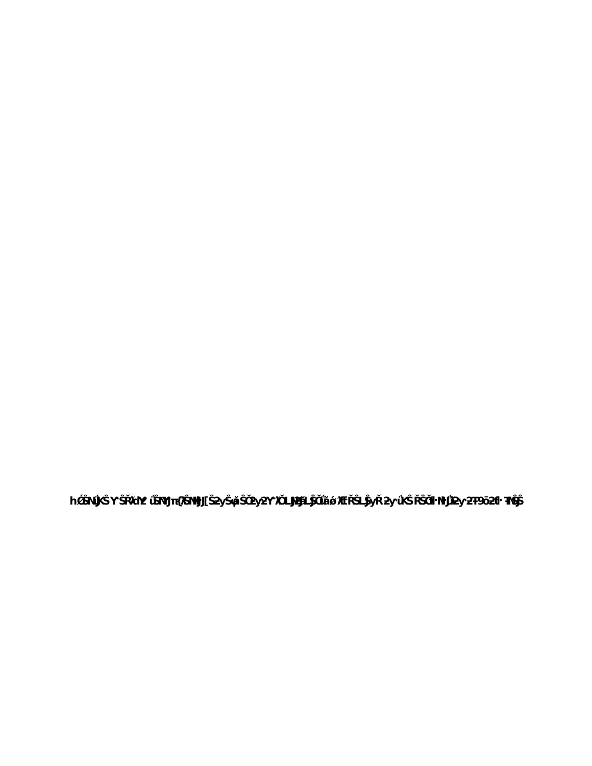to yield result sthrough the first quarter of 2015 as iron ore prices have continued to fall, to the 10 lows, resulting in a Board decision to place the company under administration. That move of mass mess coincided with the attempts of a 25percent equity partner to acquire the operation. Given these circumstances it is unclear when underlyingissues might be resolves that operations can resume notwithstanding the lowinternational iron ore prices which may affect the financial viability of the operation from a commercial perspective In parallel, during the first week of April 2015, the smaller operation halted production citing the international price environment as well as loss of satores railway line that is under the control of the large peration.

In view of the total loss of production at both iron ore mines and uncertainty noted around the prospects for their resumption if production does not resume in 201the iron ore sectorcould contract by 95percent, resulting in an overall GDP contraction of 23.5 percent in 2015 This important developmenty unrelated to the EVD will continue to have a critical and long ting effect on economic performance This is especially so the large services sector and logistics related subtors which were dependent on the iron ore industry. Thus for 2015 it is expected that while government services will increase by 3.9 percent, transport is projected to fal about 3.5 percent, while other services would contract by more than percent, with the net effect being a reduction in services of about pertent below 2014. Banking sector profitability will be further affected foanks that are exposed directly and indirectly to the iron ore setor. Hence the deteriorating trend noted above in the financial soundness indicatorscan be expected to worsen further in 20 Reinforcing these trends, mining production in non iron ore subsectors has been somewhat below plans at most facilities ding up bauxite, rutile and industrial diamonds.

The EVD cut short a rising trend of Foreign Direct Investment (FDI) in the worst a which had seen FDI increase thresseld in the past five years. During this time FD bsefrom a low of US\$95 million in 2007 to US\$950million in 2011 reflecting the investment phase in iron ore, to an estimated US\$579 million in 2013. While the longer term impact is difficult to assitis clear from the loss of an investment pipeline in 2014 of around 150 investors hat there will be a hiatus that is likely to take some time to recover from.

**Over the medium term, Sierra Leone's economic prospects will depend on the declaration of Ebola free**  status, the resumption of mining activity, and the Government capacity toplement its plans. The }μνšŒÇ[• PŒ}ÁšZ šŒ i š}ŒÇ Á‡aoctors. The }de šb)ana Frow of Ebola • freokatuSswiol help bring visitors and investoback to Sierra Leonelso, improved corporate governance in the mining sector and the successful resolution of commercial issues urrounding the larger iron oremining company and resumption of investmentin 2015 could dramatically influence GDP trendsn Amprovement in international iron ore prices should also improve prospects he projected loss offiscal revenue from the iron ore sectorfor 2015 are expected to besomewhatoffset by improved revenusexpectedfrom the non-iron ore sector. Under the assumption of no further iron ore productioneal GDP is expected to contractby 23.5 percent in 2015However µ v Œ v ^t o\_š ●Œ v Œ ]} Å Z] Z ••µu•vpercent of GDP of financing for the recovery plan and continued treminal commodity prices, the level of contraction could be reduce to 20.9 percent Assuming the resumption of iron ore production 2016 the economy is projected to grow at 19.7 percent dat 12.8 percent in 2017.

 $\vert$  Š $\vert$ }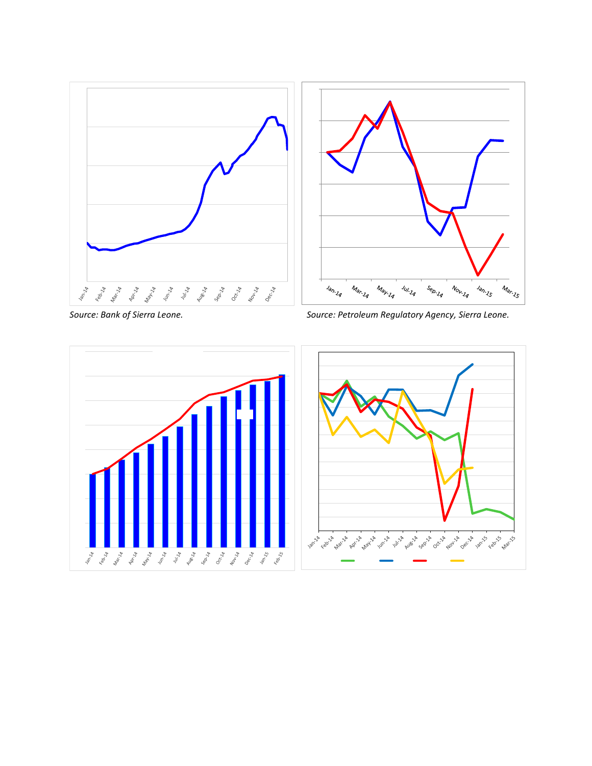

## Figure 5: Pressure on the Leone abated Figure 6: Fuel sales indicate an uncertain recovery





*Source: Bank of Sierra Leone. Source: Petroleum Regulatory Agency, Sierra Leone.*

### Figure 7: Food prices are stable Figure8: Mining collapse extends beyond iron ore



Source: Statistics Sierra Leone Source National Minerals Agency, Sierra Leone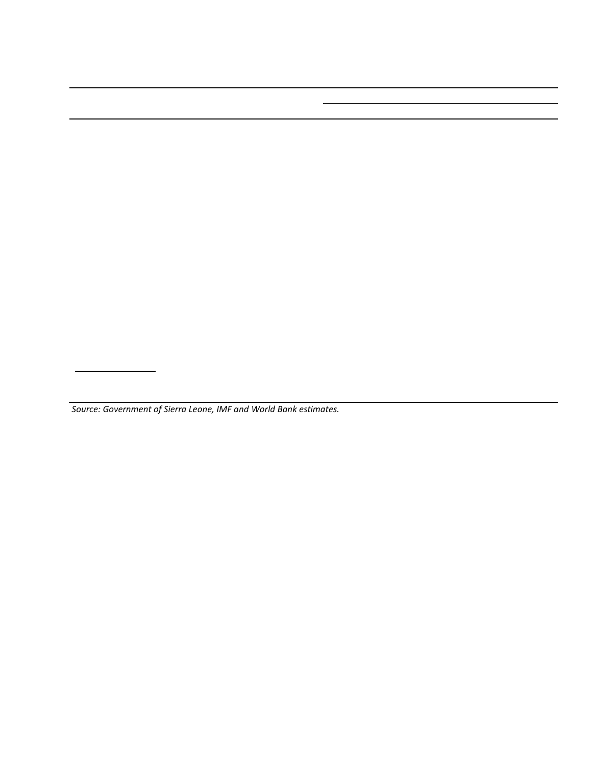Table 2: Sierra LeoneMacroeconomic and Fiscal Projections

|                                              | 2013   | 2014   | 2015     | 2016   | 2017     |
|----------------------------------------------|--------|--------|----------|--------|----------|
|                                              | Prel.  | Prel.  | Proj.    | Proj.  | Proj.    |
| Real GDP growth (%)                          | 20.1   | 7.1    | $-23.5$  | 19.7   | 12.8     |
| Non-iron ore GDP growth (%)                  | 5.5    | 1.0    | $-1.0$   | 2.0    | 2.5      |
| Consumer prices (end of ped)                 | 8.5    | 9.8    | 12.0     | 10.3   | 9.5      |
| Fiscal (US\$ million)                        |        |        |          |        |          |
| Total revenue and grants                     | 651    | 684    | 638      | 641    | 700      |
| Revenue                                      | 525    | 478    | 407      | 498    | 550      |
| Tax revenue                                  | 486    | 447    | 372      | 461    | 512      |
| Non-tax revenue                              | 39     | 31     | 35       | 36     | 38       |
| Grants, excluding Ebolalated support         | 126    | 206    | 230      | 143    | 150      |
| Total Expenditure and net lending            | 729    | 863    | 805      | 841    | 879      |
| Current expenditure                          | 503    | 601    | 525      | 548    | 591      |
| Capital expenditure (IMF Program)            | 264    | 259    | 272      | 275    | 289      |
| Net lending                                  | $-39$  | 3      | $\Omega$ | $-10$  | $\Omega$ |
| Overall balance, ekcEbolarelated support     | $-205$ | $-385$ | $-398$   | $-343$ | $-329$   |
| Including grants                             | $-78$  | $-179$ | $-168$   | $-200$ | $-179$   |
| Overall balance (% of neron ore GDP)         | $-1.9$ | $-3.9$ | $-3.6$   | $-3.9$ | $-3.3$   |
| Residual gap (excluding Ebola Recovery Plan) | 0      | 0      | 0        | 73     | 53       |
| Memorandum items                             |        |        |          |        |          |
| GDP (U\$million)                             | 4,910  | 5,100  | 4,700    | 5,100  | 5,500    |
| Non-iron ore GDP (US\$ million)              | 4,140  | 4,630  | 4,600    | 5,100  | 5,400    |

*Source: Government of Sierra Leone, IMF and World Bank estimates.*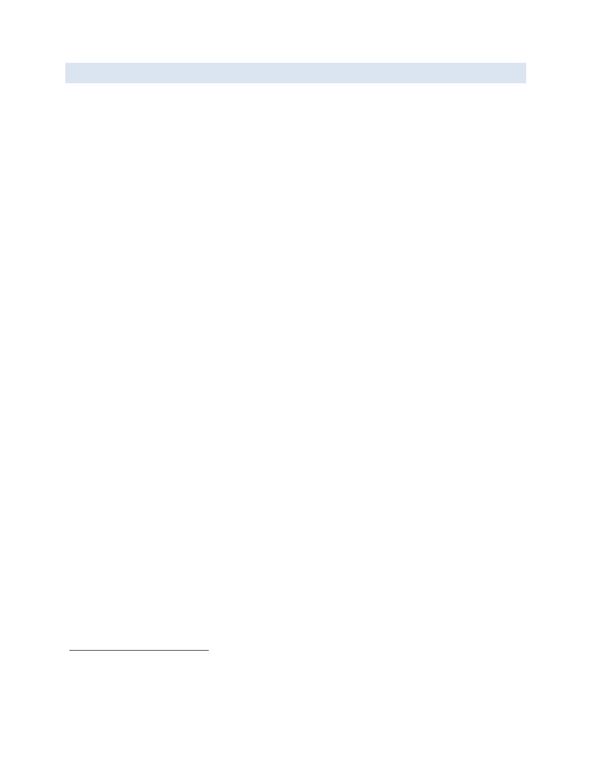# GUINEA

l

Guinea continues to be affected by the Ebola outbreak, but therashbeen considerable success in fighting the epidemic, particularly in the sutheastern part of the country However, big challenges remain, particularly around the capital After the infection rate peaked in December 2014, it has sided in Januar-March 2015, but there are still around 20-50 cases per week. As of April, 2015 the epidemic remains concentrated in the districts around the capital onakry where more than one fifth of the national population resides but has been eradicated in most of the watry, including the southeast border regions of Gueckedou and Macenta where the crisis originated redeficient to have the final push against Ebola, 45-day state of health emergency as declared by the President for the prefectures of Forecariah, CoyahBoffa, and Kindiaat the end of March. The capital, Conakry, will also be subject to emergency measures, which include the restriction of movement in areas of transmission, the temporary closure and quarantine of private hospitals and clinics where EVBs das e been detected, and limitation of burial participation to close relatives on The success of the international efforts, leading to the construction of eight treatment centers in the country, coupled with strong community mobilization, has led to asignificant declinen new cases but it may be well into 2015 before the disease is fully eradicated.

2015 will be a difficult year for Guinea as the pandenciontinues to unfold and some of the econdorder effects on households and rivestors continue. Real GDP growth which was estimated at 2.3 percentfor 2013, slowed to 0.5 percent in 2014, an abontraction of 0.2 percentis projected for 2015. The first quarter of 2015 has confirmed the earlier trends a broadbased deterioration in manufacturing, construction, agriculture, and commerce. Compared to the first quarter 2014, air transport has declined by 50ercent in first quarter 2015, and hotel occupanc 25 spercent below the similar periodn 2014.Construction and manufacturing activities projected to contract by 5 percent in 2015 as investment activity is still affected the Ebolacrisis.Cost and freight have become more expensive, and traffic container volume at the Port of Conakry decline **40** percent in 2014.

The service and mining sectors continue to be adversely impacted by Ebola in 2015 the service sector is expected to contracby 1 percent in 2015 due to diffidules in commerce and transport and the continued decline in weekly market activity spite of the re-opening of borders Agricultural production is expected tostagnate, due to the outflow of labor from key farming areas and lower levels of planting activity. Overall the agricultural sector is expected to antract by 1.5 percent n relation to mining, investors plan to slowly return by the middle of 20 Bauxite production has shown resilience during the crisis, but other metals have seen marked decreases in productione of the mining related construction, including of the Beyla-E  $\left| i \right\rangle$  C let road financed by Rio Tinto has not resumed many expatriates have notreturned. Other miningprojects are facing similar delays in 2015.

The inflation rate averaged 90 percent in the first quarter of 205, continuing the trend sen in 2014. A combination of redced demand, careful nonetary policy at the central bank, and the combination of food surplus and food deficit areas led to inflation being contained on avellat and pandemic has led to some increase of food prices antew regional markets.

 $2$  There will be further revisions in June, 2015 as new economic data comes in an Bubank taff review sectoral growth forecasts.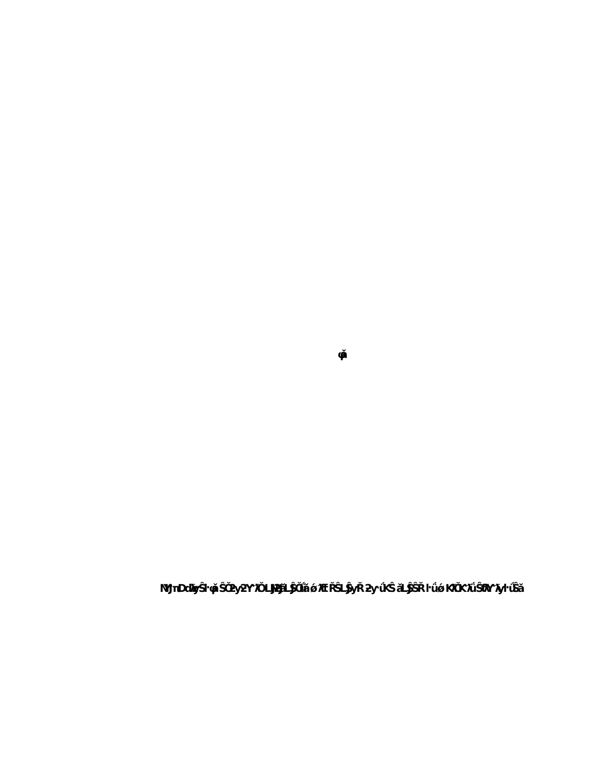The GNF local currency has depreciated by 4.5 percent since June 2014 against the dollar and appreciated by 15 percent against the Eurohe exchange rate is about 5 percent below the pre la levels. As of April, 2015, the gap between the official and parally elastic rate is at 4 percent, and international reserves remained at over 3 months of import though there appears to be some pressures on the reserve is ' $\mu$ ]v [•  $\mu \times \times$  vš } uvenšain strušcturally in šdeficit in 2051 (close to 20 percer GDP) because of weak export growth and substantial imports of oil and food.

The fiscal impact of Ebola will be felt significantly in 2015 Revenues as a share of DP were initially projected to increase from 18.7 percent in 2014 to 20.7 percen20nt due to lower oil prices and stronger revenue efforts by the authorities to implement planned administrative measures, as well as a resurgence of economic activity in the second half of 2016 wever, first quarter data for 2015 shows slippages in revaue collection On the expenditure side here is a projected increase of expenditures (especially current) largely due to the cost of the Ebola ponse plan Spending for the Ebola response planin 2015 is projected at just over \$200 million out of tatof \$350 million, amounting to 3.2 percent of GDP. In 2014, the Government, together with international donors, spent \$150 million on a response plan to fund logistics, health centers, the purchase of food and equipment, and salaries 5, he wage bill is projected to increase  $60/8$  percent of GDP effecting the implementation of a 40 percent staggered generalincrease in base wages following an importante ement with unions in January 2015 te impact of the global lower oil price is slowly beg felt in the Guinea economy with the recently announced lowering of pump prices in early 2015. By the end of 2015, the fiscal impact should be mitigated by stronger grant financing and domestic revenue mobilization.

The Guinea Ebola Recovery Plan respents the Government ambitious and wideranging attempt to end Ebola in the country and reaunch the economy ints aftermath. Prepared under the leadership of former Senegalese Prime Minister Loum, the plan is based on four fundamental pillarsia sector support, economic recovery, infrastructure development, and governance support plancostsUS\$2.9 billion and includes the strengthening of the health system (systems, human resources, and medicines) to meet the immediate needs dhe population postEbola (\$427 million), education sector strengthening (\$183 million), infrastructure (\$70 million), and relaunching of industry (\$50 million). The timeline of the plan is a three year horizon, with an initial Ebola containment followed by a beo based recovery. Risks identified in the plan include: political instability, lack of leadership, fiscal risks, regional spillover risks, climactic risks, and the resurgence of the disease that could jeopardize the recovery effort.

The Government will also put its own resources into the fight against Ebolahe Government has programmed \$189 million as counterpart financing in the public investment budget for-2011. The methodology of the costing was based on aggregating the ministectific resource needs to support the Ebola recovery and use the existing project portfolio as a base, using current Guinea prices as the base. The time horizon is for an immediate use (JullDecember 2015) and a mediuterm use (2016 and 2017).

Over the medium te**rm, Guinea's economic prospects will depend on the speed at which it eliminates**  Ebola, the strength of its recovery plan, the return of private and foreign investors, and the successful mobilization of grant financing. The mediumterm outlook ispositive influenced by the anticipated recovery inglobal demand for metals and be successful rebound of services and agricultations for 2015-2017 suggest that nder an alternate scenario, which assumes containment to zero case in 2015; further abatement in aversion behavior; improvement in commodity prices aindncing from donors equivalent to 5 percent of GDP  $\} \mu$ o o š} v]vŒ ∙ ]v′WPŒ}ÁšZ (Œ}uðXñ °, •\_ š} òXô ‰Œvš Ç îìíóX There are still considerable downside risks to the near-term outlook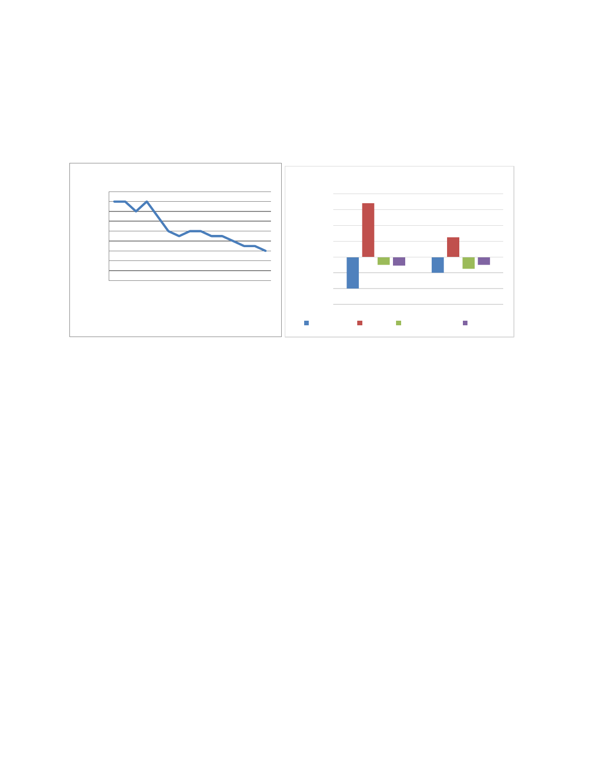stemming from investor aversion postbola and changes in the global mining environment. Guinea will face an uncertain period of postbola recovery and will need strong support from the international community. The planned pretential elections over 201566 period couldslowdown the implementation of key structural reforms.



Figure 9: Guinea, Inflation (CPI) Figure 10: Guinea, sectoral growth (2014-2015)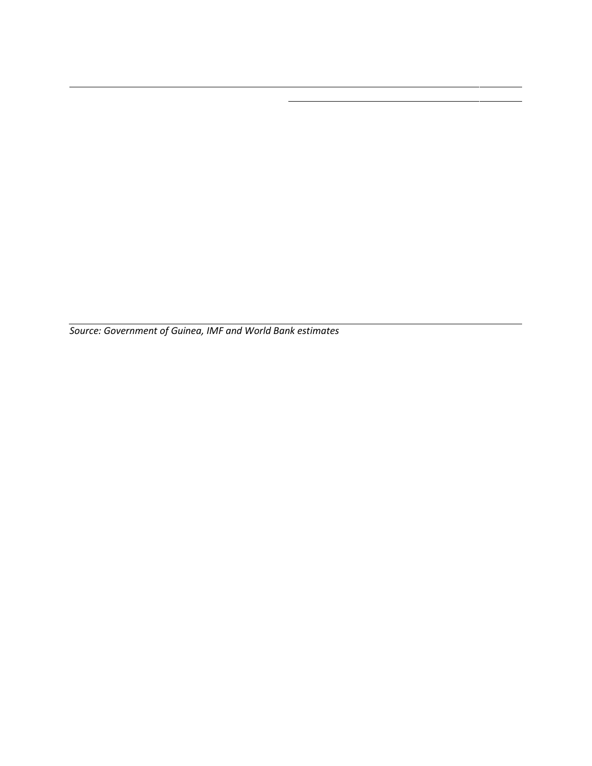Table 3: Guinea, Macroeconomic and Fiscal Projections

| 2014   | 2015    | 2016   | 2017   |
|--------|---------|--------|--------|
| Prel.  | Proj.   | Proj.  | Proj.  |
| 0.4    | $-0.2$  | 3.0    | 4.5    |
| 9.5    | 9.7     | 9.5    | 9.2    |
|        |         |        |        |
| 1707   | 1676    | 1920   | 2169   |
| 190    | 199     | 210    | 250    |
| 1050   | 1281    | 1406   | 1658   |
| 467    | 196     | 250    | 150    |
| 1979   | 2373    | 2360   | 2500   |
| 1202   | 1470    | 1450   | 1550   |
| 777    | 903     | 900    | 950    |
| $-272$ | -697    | -440   | $-331$ |
| $-4.3$ | $-10.1$ | $-5.7$ | $-3.9$ |
|        | 308     | 90     | 120    |
|        |         |        |        |
| 6,629  | 7,150   | 7,710  | 8,520  |
|        | 6,230   |        |        |

*Source: Government of Guinea, IMF and World Bank estimates*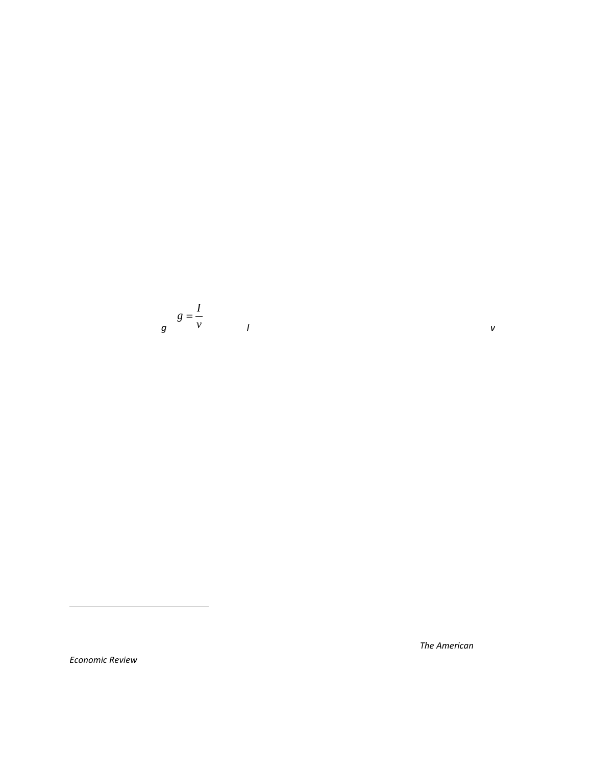## ANNEX1: METHODOLOGICAL NOTE

l

The approach to estimating the growth impacts of investment were based on the following: GDP growth rates were projected based on reviews of recent sectoral presence, for each of the countries. These were based on ongoing macroeconomic surveillance that tracks leading indicators (including cement and fuel sales) and an analysis of sectoral developments. These projections were arrived at together with the relevant government authorities and included as input terviews with private sector actors, survey data, and government policy statements. In all cases, current estimates, which include the impact of Ebola are compared with pre-Ebola projections by the Woor Bank and the International Monetary Fund.

Secondly, incremental capital tput ratios (ICORS) were compiled based on the available relevant literature for subSaharan Africa. The basic premise of the ICOR methodology is that of a direct relationship beween economic growth and investment, adjusted for the quality of investment and capital depreciation.<sup>3</sup> For subSaharan African countries the prevalent long  $CEu / KZ[•]$ ŒšÁvî- $V$ and depreciation was 0.2 percent. The higher the ICOR, the **kow** erroductivity of capital. Simulations for the alternate growth scenarios for the three countries are based on the simple ICOR model, stated as:

Annual growth rate $g$ ):  $\stackrel{\circ}{\phantom{\qquad}v}$  $g = \frac{I}{I}$ ; Where *I* is the level of net investment as a share of GDR v is the Incremental Capital Output Ratio (ICORs) for the economy representing the amount of additional capital needed to produce an additional unit of output.

dZ / KZ[● Á OE µ● š} OE]À šZ ]u‰ š}v 'W POE}ÁæšlenΣt1¢o (5%v ]v OE ● of GDP (assumed to have a 90% capital and 10% current component) for each of the three countries. The model calibrated the impact of the shocks on GDP in the base case (no additional financing and relatively poor program implementation) to an ternative case (with more financing and better implementation). Additional simulations looked at the impact of larger investment flows on output. While the methodology has limitations, it provides a useful tool for deriving a fore approximation of he impact of additional financing for the recovery plans on GDP growth. Check the robustness of the results, modelling was also undertaken using a demand side methodology. In this approach, an exogenous aid shock of 5% of GDP was applied to domesticrdand (split amongst household consumption, government consumption and fixed investment). In this scenario domestic demand rises more than the 5% of GDP shock due to multiplier effects among the different components. In aggregate however, the rise in GH3B iban 5% as much of the increase in demand is sourced from imports, particularly for investment goods. Overall, modelling the aid shock from the demand side generates results similar to the ICOR approach.

<sup>&</sup>lt;sup>3</sup> Arbache, JorgeDelfin Go, and John Pagle ^ / • ( Œ}]v } [u∙Ç š d µ Œ v ] v P W } ] v š M U \_ t } Œ o v I W Working Paper 4519, Washington DC, 2008.

CheneryU,}oo]• X v o v DX ^šOE}µšU ^&}OE]Pv ••]*¶bše American* }v}u] À o}‰ **Economic Review, Volume LVI, Number 4, Part I, Septembe66.9**